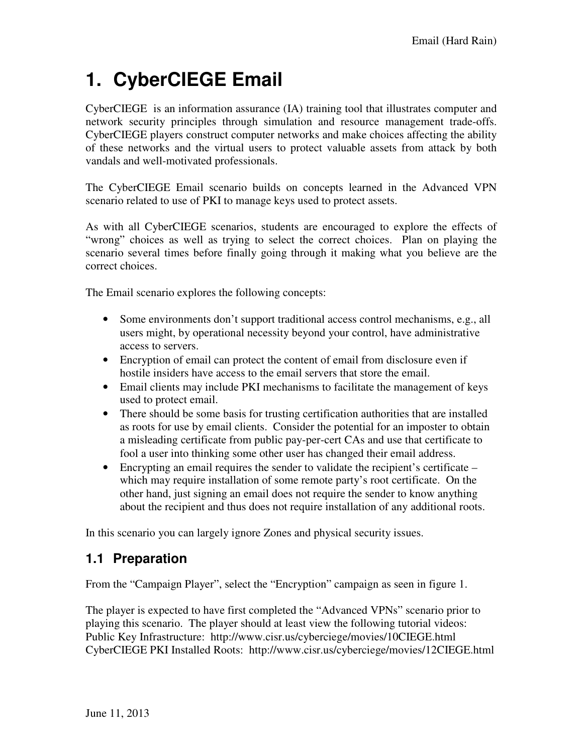# **1. CyberCIEGE Email**

CyberCIEGE is an information assurance (IA) training tool that illustrates computer and network security principles through simulation and resource management trade-offs. CyberCIEGE players construct computer networks and make choices affecting the ability of these networks and the virtual users to protect valuable assets from attack by both vandals and well-motivated professionals.

The CyberCIEGE Email scenario builds on concepts learned in the Advanced VPN scenario related to use of PKI to manage keys used to protect assets.

As with all CyberCIEGE scenarios, students are encouraged to explore the effects of "wrong" choices as well as trying to select the correct choices. Plan on playing the scenario several times before finally going through it making what you believe are the correct choices.

The Email scenario explores the following concepts:

- Some environments don't support traditional access control mechanisms, e.g., all users might, by operational necessity beyond your control, have administrative access to servers.
- Encryption of email can protect the content of email from disclosure even if hostile insiders have access to the email servers that store the email.
- Email clients may include PKI mechanisms to facilitate the management of keys used to protect email.
- There should be some basis for trusting certification authorities that are installed as roots for use by email clients. Consider the potential for an imposter to obtain a misleading certificate from public pay-per-cert CAs and use that certificate to fool a user into thinking some other user has changed their email address.
- Encrypting an email requires the sender to validate the recipient's certificate which may require installation of some remote party's root certificate. On the other hand, just signing an email does not require the sender to know anything about the recipient and thus does not require installation of any additional roots.

In this scenario you can largely ignore Zones and physical security issues.

### **1.1 Preparation**

From the "Campaign Player", select the "Encryption" campaign as seen in figure 1.

The player is expected to have first completed the "Advanced VPNs" scenario prior to playing this scenario. The player should at least view the following tutorial videos: Public Key Infrastructure: http://www.cisr.us/cyberciege/movies/10CIEGE.html CyberCIEGE PKI Installed Roots: http://www.cisr.us/cyberciege/movies/12CIEGE.html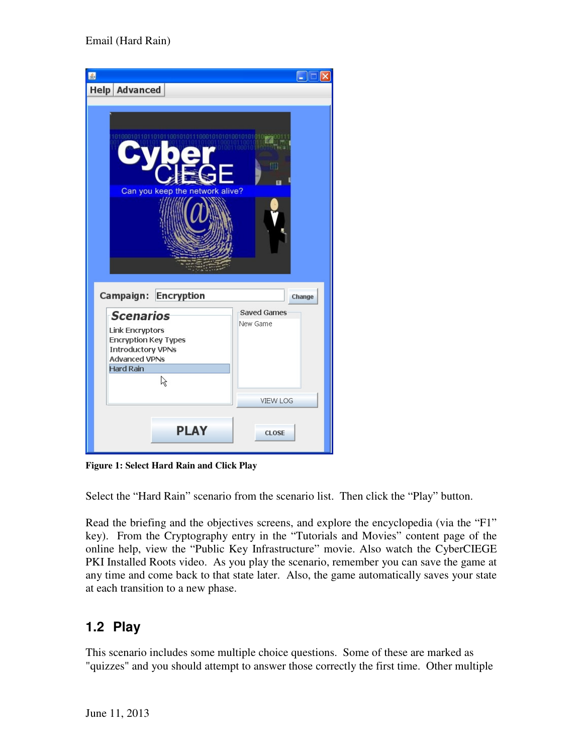| €                                         |                    |
|-------------------------------------------|--------------------|
| <b>Help Advanced</b>                      |                    |
|                                           |                    |
|                                           |                    |
|                                           |                    |
|                                           |                    |
|                                           | m                  |
|                                           |                    |
| Can you keep the network alive?           |                    |
|                                           |                    |
|                                           |                    |
|                                           |                    |
|                                           |                    |
|                                           |                    |
|                                           |                    |
| <b>Encryption</b><br>Campaign:            | Change             |
| <b>Scenarios</b>                          | <b>Saved Games</b> |
| <b>Link Encryptors</b>                    | New Game           |
| <b>Encryption Key Types</b>               |                    |
| <b>Introductory VPNs</b><br>Advanced VPNs |                    |
| <b>Hard Rain</b>                          |                    |
| R                                         |                    |
|                                           | <b>VIEW LOG</b>    |
|                                           |                    |
| <b>PLAY</b>                               |                    |
|                                           | <b>CLOSE</b>       |
|                                           |                    |

**Figure 1: Select Hard Rain and Click Play** 

Select the "Hard Rain" scenario from the scenario list. Then click the "Play" button.

Read the briefing and the objectives screens, and explore the encyclopedia (via the "F1" key). From the Cryptography entry in the "Tutorials and Movies" content page of the online help, view the "Public Key Infrastructure" movie. Also watch the CyberCIEGE PKI Installed Roots video. As you play the scenario, remember you can save the game at any time and come back to that state later. Also, the game automatically saves your state at each transition to a new phase.

## **1.2 Play**

This scenario includes some multiple choice questions. Some of these are marked as "quizzes" and you should attempt to answer those correctly the first time. Other multiple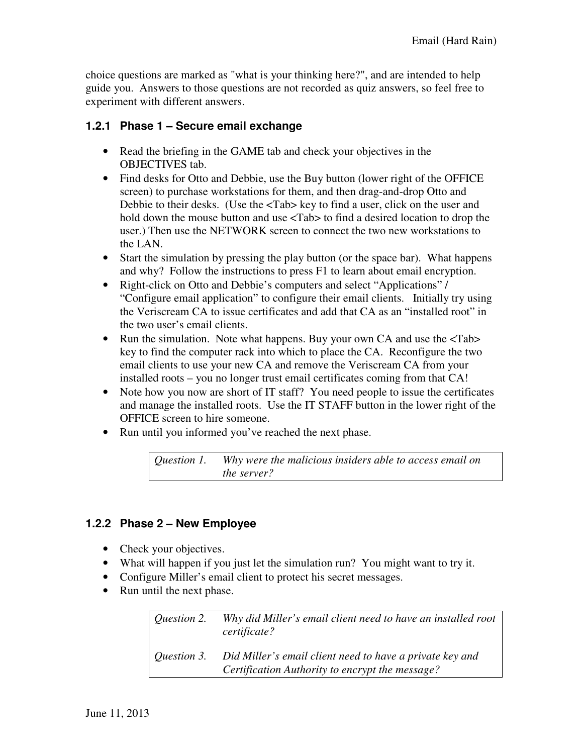choice questions are marked as "what is your thinking here?", and are intended to help guide you. Answers to those questions are not recorded as quiz answers, so feel free to experiment with different answers.

#### **1.2.1 Phase 1 – Secure email exchange**

- Read the briefing in the GAME tab and check your objectives in the OBJECTIVES tab.
- Find desks for Otto and Debbie, use the Buy button (lower right of the OFFICE screen) to purchase workstations for them, and then drag-and-drop Otto and Debbie to their desks. (Use the <Tab> key to find a user, click on the user and hold down the mouse button and use  $\langle \text{Tab}\rangle$  to find a desired location to drop the user.) Then use the NETWORK screen to connect the two new workstations to the LAN.
- Start the simulation by pressing the play button (or the space bar). What happens and why? Follow the instructions to press F1 to learn about email encryption.
- Right-click on Otto and Debbie's computers and select "Applications" / "Configure email application" to configure their email clients. Initially try using the Veriscream CA to issue certificates and add that CA as an "installed root" in the two user's email clients.
- Run the simulation. Note what happens. Buy your own CA and use the  $\langle \text{Tab}\rangle$ key to find the computer rack into which to place the CA. Reconfigure the two email clients to use your new CA and remove the Veriscream CA from your installed roots – you no longer trust email certificates coming from that CA!
- Note how you now are short of IT staff? You need people to issue the certificates and manage the installed roots. Use the IT STAFF button in the lower right of the OFFICE screen to hire someone.
- Run until you informed you've reached the next phase.

#### **1.2.2 Phase 2 – New Employee**

- Check your objectives.
- What will happen if you just let the simulation run? You might want to try it.
- Configure Miller's email client to protect his secret messages.
- Run until the next phase.

| Question 2.        | Why did Miller's email client need to have an installed root<br>certificate?                                |
|--------------------|-------------------------------------------------------------------------------------------------------------|
| <i>Ouestion 3.</i> | Did Miller's email client need to have a private key and<br>Certification Authority to encrypt the message? |

*Question 1. Why were the malicious insiders able to access email on the server?*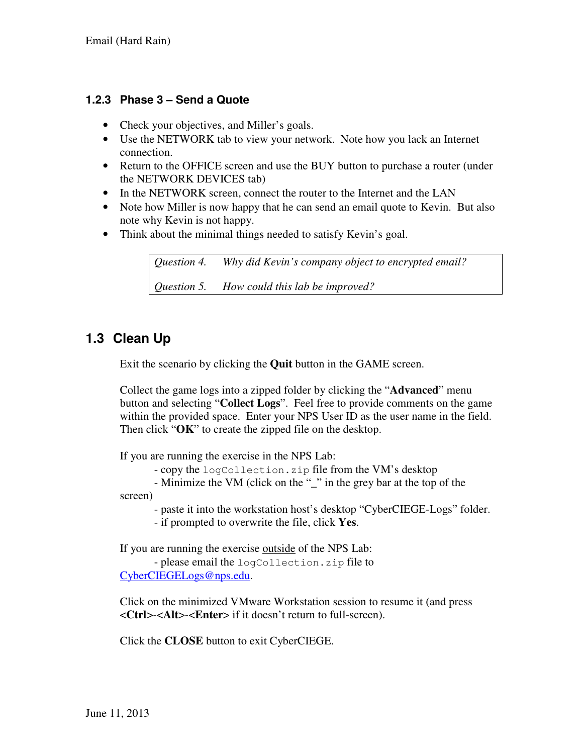#### **1.2.3 Phase 3 – Send a Quote**

- Check your objectives, and Miller's goals.
- Use the NETWORK tab to view your network. Note how you lack an Internet connection.
- Return to the OFFICE screen and use the BUY button to purchase a router (under the NETWORK DEVICES tab)
- In the NETWORK screen, connect the router to the Internet and the LAN
- Note how Miller is now happy that he can send an email quote to Kevin. But also note why Kevin is not happy.
- Think about the minimal things needed to satisfy Kevin's goal.

*Question 4. Why did Kevin's company object to encrypted email? Question 5. How could this lab be improved?* 

### **1.3 Clean Up**

Exit the scenario by clicking the **Quit** button in the GAME screen.

Collect the game logs into a zipped folder by clicking the "**Advanced**" menu button and selecting "**Collect Logs**". Feel free to provide comments on the game within the provided space. Enter your NPS User ID as the user name in the field. Then click "**OK**" to create the zipped file on the desktop.

If you are running the exercise in the NPS Lab:

- copy the logCollection.zip file from the VM's desktop

 - Minimize the VM (click on the "\_" in the grey bar at the top of the screen)

- paste it into the workstation host's desktop "CyberCIEGE-Logs" folder.

- if prompted to overwrite the file, click **Yes**.

If you are running the exercise outside of the NPS Lab:

 - please email the logCollection.zip file to CyberCIEGELogs@nps.edu.

Click on the minimized VMware Workstation session to resume it (and press <**Ctrl**>-<**Alt**>-<**Enter**> if it doesn't return to full-screen).

Click the **CLOSE** button to exit CyberCIEGE.